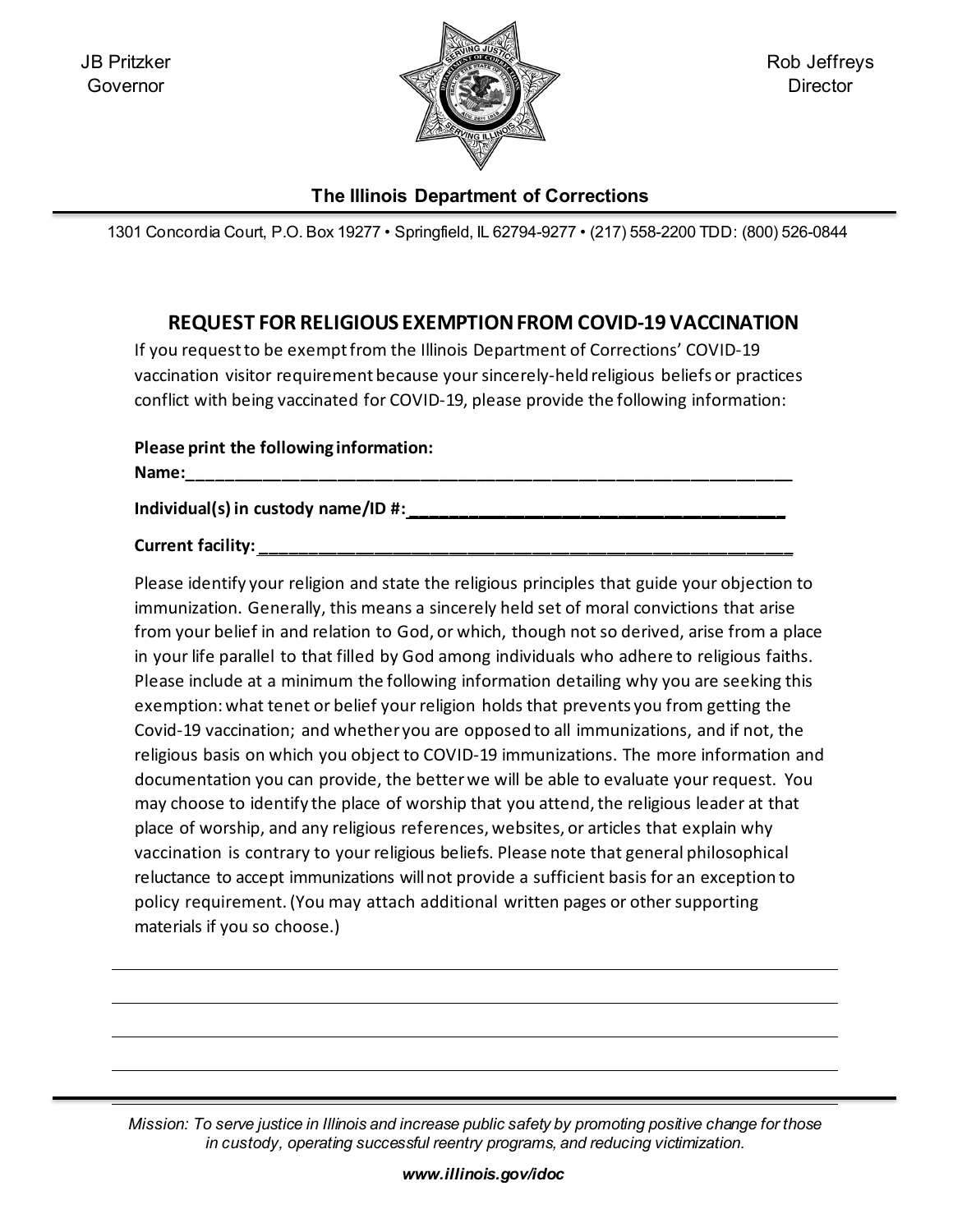

Rob Jeffreys **Director** 

## **The Illinois Department of Corrections**

1301 Concordia Court, P.O. Box 19277 • Springfield, IL 62794-9277 • (217) 558-2200 TDD: (800) 526-0844

## **REQUEST FOR RELIGIOUS EXEMPTIONFROM COVID-19 VACCINATION**

If you request to be exempt from the Illinois Department of Corrections' COVID-19 vaccination visitor requirement because your sincerely-held religious beliefs or practices conflict with being vaccinated for COVID-19, please provide the following information:

| Please print the following information: |
|-----------------------------------------|
| Name:                                   |
| Individual(s) in custody name/ID #:     |

**Current facility: \_\_\_\_\_\_\_\_\_\_\_\_\_\_\_\_\_\_\_\_\_\_\_\_\_\_\_\_\_\_\_\_\_\_\_\_\_\_\_\_\_\_\_\_\_\_\_\_\_\_\_\_\_\_\_\_\_**

Please identify your religion and state the religious principles that guide your objection to immunization. Generally, this means a sincerely held set of moral convictions that arise from your belief in and relation to God, or which, though not so derived, arise from a place in your life parallel to that filled by God among individuals who adhere to religious faiths. Please include at a minimum the following information detailing why you are seeking this exemption:what tenet or belief your religion holds that prevents you from getting the Covid-19 vaccination; and whether you are opposed to all immunizations, and if not, the religious basis on which you object to COVID-19 immunizations. The more information and documentation you can provide, the betterwe will be able to evaluate your request. You may choose to identify the place of worship that you attend, the religious leader at that place of worship, and any religious references, websites, or articles that explain why vaccination is contrary to your religious beliefs. Please note that general philosophical reluctance to accept immunizations willnot provide a sufficient basis for an exception to policy requirement.(You may attach additional written pages or othersupporting materials if you so choose.)

*Mission: To serve justice in Illinois and increase public safety by promoting positive change for those in custody, operating successful reentry programs, and reducing victimization.*